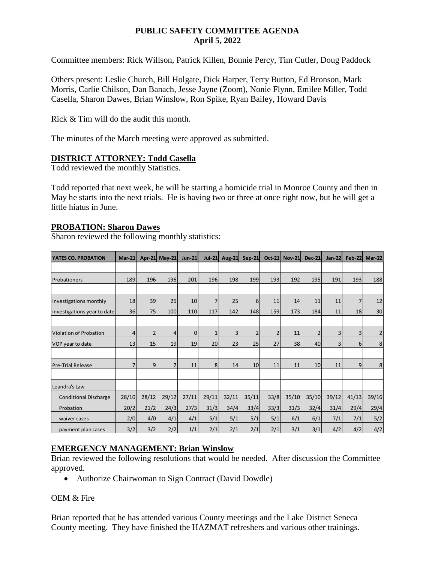## **PUBLIC SAFETY COMMITTEE AGENDA April 5, 2022**

Committee members: Rick Willson, Patrick Killen, Bonnie Percy, Tim Cutler, Doug Paddock

Others present: Leslie Church, Bill Holgate, Dick Harper, Terry Button, Ed Bronson, Mark Morris, Carlie Chilson, Dan Banach, Jesse Jayne (Zoom), Nonie Flynn, Emilee Miller, Todd Casella, Sharon Dawes, Brian Winslow, Ron Spike, Ryan Bailey, Howard Davis

Rick & Tim will do the audit this month.

The minutes of the March meeting were approved as submitted.

#### **DISTRICT ATTORNEY: Todd Casella**

Todd reviewed the monthly Statistics.

Todd reported that next week, he will be starting a homicide trial in Monroe County and then in May he starts into the next trials. He is having two or three at once right now, but he will get a little hiatus in June.

#### **PROBATION: Sharon Dawes**

Sharon reviewed the following monthly statistics:

| <b>YATES CO. PROBATION</b>    | $Mar-21$ |                | Apr-21 May-21 | <b>Jun-21</b> | $Jul-21$ | <b>Aug-21</b> | <b>Sep-21</b>    | Oct - 21       | <b>Nov-21</b> | <b>Dec-21</b>  | <b>Jan-22</b> | <b>Feb-22</b>  | Mar-22         |
|-------------------------------|----------|----------------|---------------|---------------|----------|---------------|------------------|----------------|---------------|----------------|---------------|----------------|----------------|
|                               |          |                |               |               |          |               |                  |                |               |                |               |                |                |
| Probationers                  | 189      | 196            | 196           | 201           | 196      | 198           | 199              | 193            | 192           | 195            | 191           | 193            | 188            |
|                               |          |                |               |               |          |               |                  |                |               |                |               |                |                |
| Investigations monthly        | 18       | 39             | 25            | 10            | 7        | 25            | $6 \overline{6}$ | 11             | 14            | 11             | 11            | $\overline{7}$ | 12             |
| investigations year to date   | 36       | 75             | 100           | 110           | 117      | 142           | 148              | 159            | 173           | 184            | 11            | 18             | 30             |
|                               |          |                |               |               |          |               |                  |                |               |                |               |                |                |
| <b>Violation of Probation</b> | 4        | $\overline{2}$ | 4             | $\mathbf{0}$  | 1        | 3             | $\overline{2}$   | $\overline{2}$ | 11            | $\overline{2}$ | 3             | 3              | $\overline{2}$ |
| VOP year to date              | 13       | 15             | 19            | 19            | 20       | 23            | 25               | 27             | 38            | 40             | 3             | 6              | $\bf 8$        |
|                               |          |                |               |               |          |               |                  |                |               |                |               |                |                |
| <b>Pre-Trial Release</b>      | 7        | 9              | 7             | 11            | 8        | 14            | 10               | 11             | 11            | 10             | 11            | 9              | 8              |
|                               |          |                |               |               |          |               |                  |                |               |                |               |                |                |
| Leandra's Law                 |          |                |               |               |          |               |                  |                |               |                |               |                |                |
| <b>Conditional Discharge</b>  | 28/10    | 28/12          | 29/12         | 27/11         | 29/11    | 32/11         | 35/11            | 33/8           | 35/10         | 35/10          | 39/12         | 41/13          | 39/16          |
| Probation                     | 20/2     | 21/2           | 24/3          | 27/3          | 31/3     | 34/4          | 33/4             | 33/3           | 31/3          | 32/4           | 31/4          | 29/4           | 29/4           |
| waiver cases                  | 2/0      | 4/0            | 4/1           | 4/1           | 5/1      | 5/1           | 5/1              | 5/1            | 6/1           | 6/1            | 7/1           | 7/1            | 5/2            |
| payment plan cases            | 3/2      | 3/2            | 2/2           | 1/1           | 2/1      | 2/1           | 2/1              | 2/1            | 3/1           | 3/1            | 4/2           | 4/2            | 4/2            |

## **EMERGENCY MANAGEMENT: Brian Winslow**

Brian reviewed the following resolutions that would be needed. After discussion the Committee approved.

• Authorize Chairwoman to Sign Contract (David Dowdle)

#### OEM & Fire

Brian reported that he has attended various County meetings and the Lake District Seneca County meeting. They have finished the HAZMAT refreshers and various other trainings.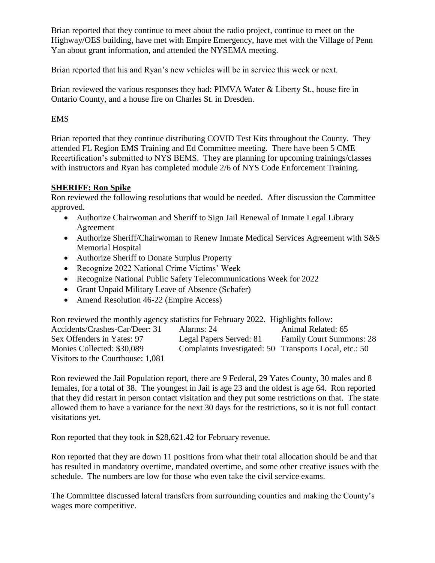Brian reported that they continue to meet about the radio project, continue to meet on the Highway/OES building, have met with Empire Emergency, have met with the Village of Penn Yan about grant information, and attended the NYSEMA meeting.

Brian reported that his and Ryan's new vehicles will be in service this week or next.

Brian reviewed the various responses they had: PIMVA Water & Liberty St., house fire in Ontario County, and a house fire on Charles St. in Dresden.

EMS

Brian reported that they continue distributing COVID Test Kits throughout the County. They attended FL Region EMS Training and Ed Committee meeting. There have been 5 CME Recertification's submitted to NYS BEMS. They are planning for upcoming trainings/classes with instructors and Ryan has completed module 2/6 of NYS Code Enforcement Training.

## **SHERIFF: Ron Spike**

Ron reviewed the following resolutions that would be needed. After discussion the Committee approved.

- Authorize Chairwoman and Sheriff to Sign Jail Renewal of Inmate Legal Library Agreement
- Authorize Sheriff/Chairwoman to Renew Inmate Medical Services Agreement with S&S Memorial Hospital
- Authorize Sheriff to Donate Surplus Property
- Recognize 2022 National Crime Victims' Week
- Recognize National Public Safety Telecommunications Week for 2022
- Grant Unpaid Military Leave of Absence (Schafer)
- Amend Resolution 46-22 (Empire Access)

Ron reviewed the monthly agency statistics for February 2022. Highlights follow:

| Accidents/Crashes-Car/Deer: 31    | Alarms: 24                                             | Animal Related: 65              |
|-----------------------------------|--------------------------------------------------------|---------------------------------|
| Sex Offenders in Yates: 97        | Legal Papers Served: 81                                | <b>Family Court Summons: 28</b> |
| Monies Collected: \$30,089        | Complaints Investigated: 50 Transports Local, etc.: 50 |                                 |
| Visitors to the Courthouse: 1,081 |                                                        |                                 |

Ron reviewed the Jail Population report, there are 9 Federal, 29 Yates County, 30 males and 8 females, for a total of 38. The youngest in Jail is age 23 and the oldest is age 64. Ron reported that they did restart in person contact visitation and they put some restrictions on that. The state allowed them to have a variance for the next 30 days for the restrictions, so it is not full contact visitations yet.

Ron reported that they took in \$28,621.42 for February revenue.

Ron reported that they are down 11 positions from what their total allocation should be and that has resulted in mandatory overtime, mandated overtime, and some other creative issues with the schedule. The numbers are low for those who even take the civil service exams.

The Committee discussed lateral transfers from surrounding counties and making the County's wages more competitive.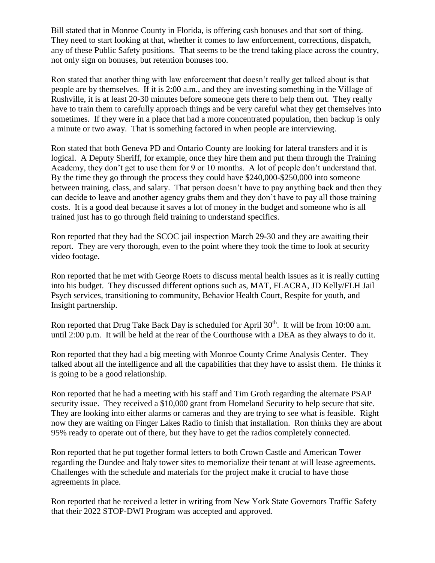Bill stated that in Monroe County in Florida, is offering cash bonuses and that sort of thing. They need to start looking at that, whether it comes to law enforcement, corrections, dispatch, any of these Public Safety positions. That seems to be the trend taking place across the country, not only sign on bonuses, but retention bonuses too.

Ron stated that another thing with law enforcement that doesn't really get talked about is that people are by themselves. If it is 2:00 a.m., and they are investing something in the Village of Rushville, it is at least 20-30 minutes before someone gets there to help them out. They really have to train them to carefully approach things and be very careful what they get themselves into sometimes. If they were in a place that had a more concentrated population, then backup is only a minute or two away. That is something factored in when people are interviewing.

Ron stated that both Geneva PD and Ontario County are looking for lateral transfers and it is logical. A Deputy Sheriff, for example, once they hire them and put them through the Training Academy, they don't get to use them for 9 or 10 months. A lot of people don't understand that. By the time they go through the process they could have \$240,000-\$250,000 into someone between training, class, and salary. That person doesn't have to pay anything back and then they can decide to leave and another agency grabs them and they don't have to pay all those training costs. It is a good deal because it saves a lot of money in the budget and someone who is all trained just has to go through field training to understand specifics.

Ron reported that they had the SCOC jail inspection March 29-30 and they are awaiting their report. They are very thorough, even to the point where they took the time to look at security video footage.

Ron reported that he met with George Roets to discuss mental health issues as it is really cutting into his budget. They discussed different options such as, MAT, FLACRA, JD Kelly/FLH Jail Psych services, transitioning to community, Behavior Health Court, Respite for youth, and Insight partnership.

Ron reported that Drug Take Back Day is scheduled for April  $30<sup>th</sup>$ . It will be from 10:00 a.m. until 2:00 p.m. It will be held at the rear of the Courthouse with a DEA as they always to do it.

Ron reported that they had a big meeting with Monroe County Crime Analysis Center. They talked about all the intelligence and all the capabilities that they have to assist them. He thinks it is going to be a good relationship.

Ron reported that he had a meeting with his staff and Tim Groth regarding the alternate PSAP security issue. They received a \$10,000 grant from Homeland Security to help secure that site. They are looking into either alarms or cameras and they are trying to see what is feasible. Right now they are waiting on Finger Lakes Radio to finish that installation. Ron thinks they are about 95% ready to operate out of there, but they have to get the radios completely connected.

Ron reported that he put together formal letters to both Crown Castle and American Tower regarding the Dundee and Italy tower sites to memorialize their tenant at will lease agreements. Challenges with the schedule and materials for the project make it crucial to have those agreements in place.

Ron reported that he received a letter in writing from New York State Governors Traffic Safety that their 2022 STOP-DWI Program was accepted and approved.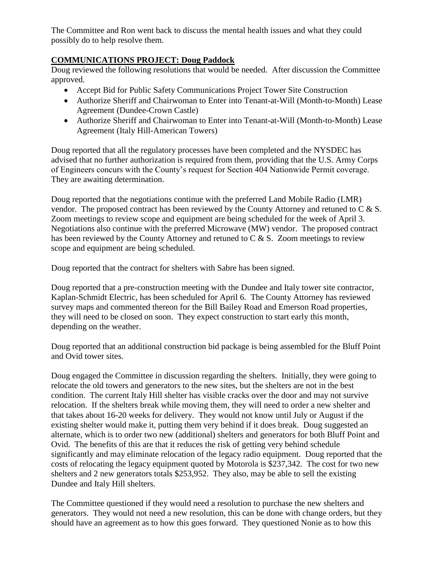The Committee and Ron went back to discuss the mental health issues and what they could possibly do to help resolve them.

# **COMMUNICATIONS PROJECT: Doug Paddock**

Doug reviewed the following resolutions that would be needed. After discussion the Committee approved.

- Accept Bid for Public Safety Communications Project Tower Site Construction
- Authorize Sheriff and Chairwoman to Enter into Tenant-at-Will (Month-to-Month) Lease Agreement (Dundee-Crown Castle)
- Authorize Sheriff and Chairwoman to Enter into Tenant-at-Will (Month-to-Month) Lease Agreement (Italy Hill-American Towers)

Doug reported that all the regulatory processes have been completed and the NYSDEC has advised that no further authorization is required from them, providing that the U.S. Army Corps of Engineers concurs with the County's request for Section 404 Nationwide Permit coverage. They are awaiting determination.

Doug reported that the negotiations continue with the preferred Land Mobile Radio (LMR) vendor. The proposed contract has been reviewed by the County Attorney and retuned to C & S. Zoom meetings to review scope and equipment are being scheduled for the week of April 3. Negotiations also continue with the preferred Microwave (MW) vendor. The proposed contract has been reviewed by the County Attorney and retuned to C & S. Zoom meetings to review scope and equipment are being scheduled.

Doug reported that the contract for shelters with Sabre has been signed.

Doug reported that a pre-construction meeting with the Dundee and Italy tower site contractor, Kaplan-Schmidt Electric, has been scheduled for April 6. The County Attorney has reviewed survey maps and commented thereon for the Bill Bailey Road and Emerson Road properties, they will need to be closed on soon. They expect construction to start early this month, depending on the weather.

Doug reported that an additional construction bid package is being assembled for the Bluff Point and Ovid tower sites.

Doug engaged the Committee in discussion regarding the shelters. Initially, they were going to relocate the old towers and generators to the new sites, but the shelters are not in the best condition. The current Italy Hill shelter has visible cracks over the door and may not survive relocation. If the shelters break while moving them, they will need to order a new shelter and that takes about 16-20 weeks for delivery. They would not know until July or August if the existing shelter would make it, putting them very behind if it does break. Doug suggested an alternate, which is to order two new (additional) shelters and generators for both Bluff Point and Ovid. The benefits of this are that it reduces the risk of getting very behind schedule significantly and may eliminate relocation of the legacy radio equipment. Doug reported that the costs of relocating the legacy equipment quoted by Motorola is \$237,342. The cost for two new shelters and 2 new generators totals \$253,952. They also, may be able to sell the existing Dundee and Italy Hill shelters.

The Committee questioned if they would need a resolution to purchase the new shelters and generators. They would not need a new resolution, this can be done with change orders, but they should have an agreement as to how this goes forward. They questioned Nonie as to how this